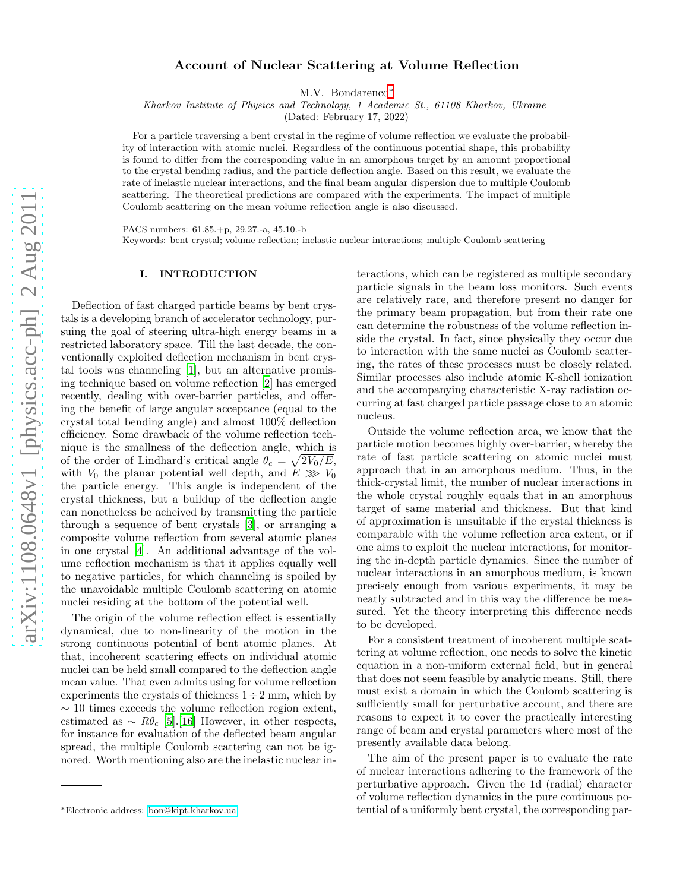# Account of Nuclear Scattering at Volume Reflection

M.V. Bondarenco[∗](#page-0-0)

Kharkov Institute of Physics and Technology, 1 Academic St., 61108 Kharkov, Ukraine

(Dated: February 17, 2022)

For a particle traversing a bent crystal in the regime of volume reflection we evaluate the probability of interaction with atomic nuclei. Regardless of the continuous potential shape, this probability is found to differ from the corresponding value in an amorphous target by an amount proportional to the crystal bending radius, and the particle deflection angle. Based on this result, we evaluate the rate of inelastic nuclear interactions, and the final beam angular dispersion due to multiple Coulomb scattering. The theoretical predictions are compared with the experiments. The impact of multiple Coulomb scattering on the mean volume reflection angle is also discussed.

PACS numbers: 61.85.+p, 29.27.-a, 45.10.-b

Keywords: bent crystal; volume reflection; inelastic nuclear interactions; multiple Coulomb scattering

### I. INTRODUCTION

Deflection of fast charged particle beams by bent crystals is a developing branch of accelerator technology, pursuing the goal of steering ultra-high energy beams in a restricted laboratory space. Till the last decade, the conventionally exploited deflection mechanism in bent crystal tools was channeling [\[1](#page-10-0)], but an alternative promising technique based on volume reflection [\[2\]](#page-10-1) has emerged recently, dealing with over-barrier particles, and offering the benefit of large angular acceptance (equal to the crystal total bending angle) and almost 100% deflection efficiency. Some drawback of the volume reflection technique is the smallness of the deflection angle, which is of the order of Lindhard's critical angle  $\theta_c = \sqrt{2V_0/E}$ , with  $V_0$  the planar potential well depth, and  $E \gg V_0$ the particle energy. This angle is independent of the crystal thickness, but a buildup of the deflection angle can nonetheless be acheived by transmitting the particle through a sequence of bent crystals [\[3](#page-10-2)], or arranging a composite volume reflection from several atomic planes in one crystal [\[4\]](#page-10-3). An additional advantage of the volume reflection mechanism is that it applies equally well to negative particles, for which channeling is spoiled by the unavoidable multiple Coulomb scattering on atomic nuclei residing at the bottom of the potential well.

The origin of the volume reflection effect is essentially dynamical, due to non-linearity of the motion in the strong continuous potential of bent atomic planes. At that, incoherent scattering effects on individual atomic nuclei can be held small compared to the deflection angle mean value. That even admits using for volume reflection experiments the crystals of thickness  $1 \div 2$  mm, which by  $\sim$  10 times exceeds the volume reflection region extent, estimated as  $\sim R\theta_c$  [\[5](#page-10-4)].[\[16\]](#page-10-5) However, in other respects, for instance for evaluation of the deflected beam angular spread, the multiple Coulomb scattering can not be ignored. Worth mentioning also are the inelastic nuclear in-

teractions, which can be registered as multiple secondary particle signals in the beam loss monitors. Such events are relatively rare, and therefore present no danger for the primary beam propagation, but from their rate one can determine the robustness of the volume reflection inside the crystal. In fact, since physically they occur due to interaction with the same nuclei as Coulomb scattering, the rates of these processes must be closely related. Similar processes also include atomic K-shell ionization and the accompanying characteristic X-ray radiation occurring at fast charged particle passage close to an atomic nucleus.

Outside the volume reflection area, we know that the particle motion becomes highly over-barrier, whereby the rate of fast particle scattering on atomic nuclei must approach that in an amorphous medium. Thus, in the thick-crystal limit, the number of nuclear interactions in the whole crystal roughly equals that in an amorphous target of same material and thickness. But that kind of approximation is unsuitable if the crystal thickness is comparable with the volume reflection area extent, or if one aims to exploit the nuclear interactions, for monitoring the in-depth particle dynamics. Since the number of nuclear interactions in an amorphous medium, is known precisely enough from various experiments, it may be neatly subtracted and in this way the difference be measured. Yet the theory interpreting this difference needs to be developed.

For a consistent treatment of incoherent multiple scattering at volume reflection, one needs to solve the kinetic equation in a non-uniform external field, but in general that does not seem feasible by analytic means. Still, there must exist a domain in which the Coulomb scattering is sufficiently small for perturbative account, and there are reasons to expect it to cover the practically interesting range of beam and crystal parameters where most of the presently available data belong.

The aim of the present paper is to evaluate the rate of nuclear interactions adhering to the framework of the perturbative approach. Given the 1d (radial) character of volume reflection dynamics in the pure continuous potential of a uniformly bent crystal, the corresponding par-

<span id="page-0-0"></span><sup>∗</sup>Electronic address: [bon@kipt.kharkov.ua](mailto:bon@kipt.kharkov.ua)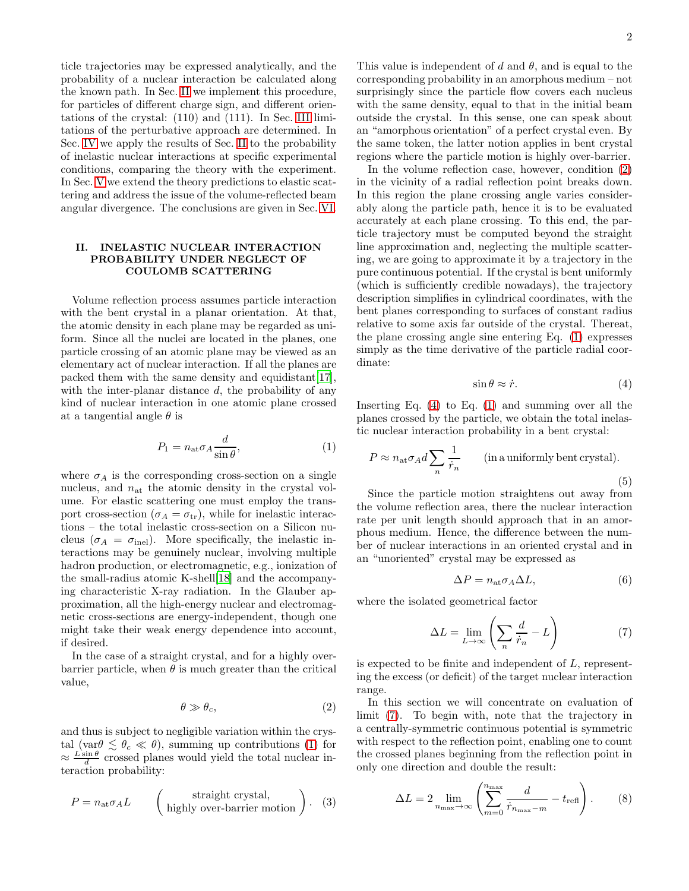ticle trajectories may be expressed analytically, and the probability of a nuclear interaction be calculated along the known path. In Sec. [II](#page-1-0) we implement this procedure, for particles of different charge sign, and different orientations of the crystal: (110) and (111). In Sec. [III](#page-5-0) limitations of the perturbative approach are determined. In Sec. [IV](#page-6-0) we apply the results of Sec. [II](#page-1-0) to the probability of inelastic nuclear interactions at specific experimental conditions, comparing the theory with the experiment. In Sec. [V](#page-7-0) we extend the theory predictions to elastic scattering and address the issue of the volume-reflected beam angular divergence. The conclusions are given in Sec. [VI.](#page-10-6)

## <span id="page-1-0"></span>II. INELASTIC NUCLEAR INTERACTION PROBABILITY UNDER NEGLECT OF COULOMB SCATTERING

Volume reflection process assumes particle interaction with the bent crystal in a planar orientation. At that, the atomic density in each plane may be regarded as uniform. Since all the nuclei are located in the planes, one particle crossing of an atomic plane may be viewed as an elementary act of nuclear interaction. If all the planes are packed them with the same density and equidistant[\[17\]](#page-10-7), with the inter-planar distance  $d$ , the probability of any kind of nuclear interaction in one atomic plane crossed at a tangential angle  $\theta$  is

<span id="page-1-1"></span>
$$
P_1 = n_{\rm at} \sigma_A \frac{d}{\sin \theta},\tag{1}
$$

where  $\sigma_A$  is the corresponding cross-section on a single nucleus, and  $n_{\text{at}}$  the atomic density in the crystal volume. For elastic scattering one must employ the transport cross-section ( $\sigma_A = \sigma_{\rm tr}$ ), while for inelastic interactions – the total inelastic cross-section on a Silicon nucleus ( $\sigma_A = \sigma_{\text{inel}}$ ). More specifically, the inelastic interactions may be genuinely nuclear, involving multiple hadron production, or electromagnetic, e.g., ionization of the small-radius atomic K-shell[\[18\]](#page-10-8) and the accompanying characteristic X-ray radiation. In the Glauber approximation, all the high-energy nuclear and electromagnetic cross-sections are energy-independent, though one might take their weak energy dependence into account, if desired.

In the case of a straight crystal, and for a highly overbarrier particle, when  $\theta$  is much greater than the critical value,

<span id="page-1-2"></span>
$$
\theta \gg \theta_c, \tag{2}
$$

and thus is subject to negligible variation within the crystal (var $\theta \leq \theta_c \ll \theta$ ), summing up contributions [\(1\)](#page-1-1) for  $\approx \frac{L \sin \theta}{d}$  crossed planes would yield the total nuclear interaction probability:

$$
P = n_{\text{at}} \sigma_A L \qquad \left( \begin{array}{c} \text{straight crystal,} \\ \text{highly over-barrier motion} \end{array} \right). \tag{3}
$$

This value is independent of d and  $\theta$ , and is equal to the corresponding probability in an amorphous medium – not surprisingly since the particle flow covers each nucleus with the same density, equal to that in the initial beam outside the crystal. In this sense, one can speak about an "amorphous orientation" of a perfect crystal even. By the same token, the latter notion applies in bent crystal regions where the particle motion is highly over-barrier.

In the volume reflection case, however, condition [\(2\)](#page-1-2) in the vicinity of a radial reflection point breaks down. In this region the plane crossing angle varies considerably along the particle path, hence it is to be evaluated accurately at each plane crossing. To this end, the particle trajectory must be computed beyond the straight line approximation and, neglecting the multiple scattering, we are going to approximate it by a trajectory in the pure continuous potential. If the crystal is bent uniformly (which is sufficiently credible nowadays), the trajectory description simplifies in cylindrical coordinates, with the bent planes corresponding to surfaces of constant radius relative to some axis far outside of the crystal. Thereat, the plane crossing angle sine entering Eq. [\(1\)](#page-1-1) expresses simply as the time derivative of the particle radial coordinate:

<span id="page-1-3"></span>
$$
\sin \theta \approx \dot{r}.\tag{4}
$$

Inserting Eq. [\(4\)](#page-1-3) to Eq. [\(1\)](#page-1-1) and summing over all the planes crossed by the particle, we obtain the total inelastic nuclear interaction probability in a bent crystal:

$$
P \approx n_{\text{at}} \sigma_A d \sum_n \frac{1}{\dot{r}_n} \qquad \text{(in a uniformly bent crystal)}.
$$
\n(5)

Since the particle motion straightens out away from the volume reflection area, there the nuclear interaction rate per unit length should approach that in an amorphous medium. Hence, the difference between the number of nuclear interactions in an oriented crystal and in an "unoriented" crystal may be expressed as

<span id="page-1-6"></span>
$$
\Delta P = n_{\rm at} \sigma_A \Delta L,\tag{6}
$$

where the isolated geometrical factor

<span id="page-1-4"></span>
$$
\Delta L = \lim_{L \to \infty} \left( \sum_{n} \frac{d}{\dot{r}_n} - L \right) \tag{7}
$$

is expected to be finite and independent of L, representing the excess (or deficit) of the target nuclear interaction range.

In this section we will concentrate on evaluation of limit [\(7\)](#page-1-4). To begin with, note that the trajectory in a centrally-symmetric continuous potential is symmetric with respect to the reflection point, enabling one to count the crossed planes beginning from the reflection point in only one direction and double the result:

<span id="page-1-5"></span>
$$
\Delta L = 2 \lim_{n_{\text{max}} \to \infty} \left( \sum_{m=0}^{n_{\text{max}}} \frac{d}{\dot{r}_{n_{\text{max}}-m}} - t_{\text{refl}} \right). \tag{8}
$$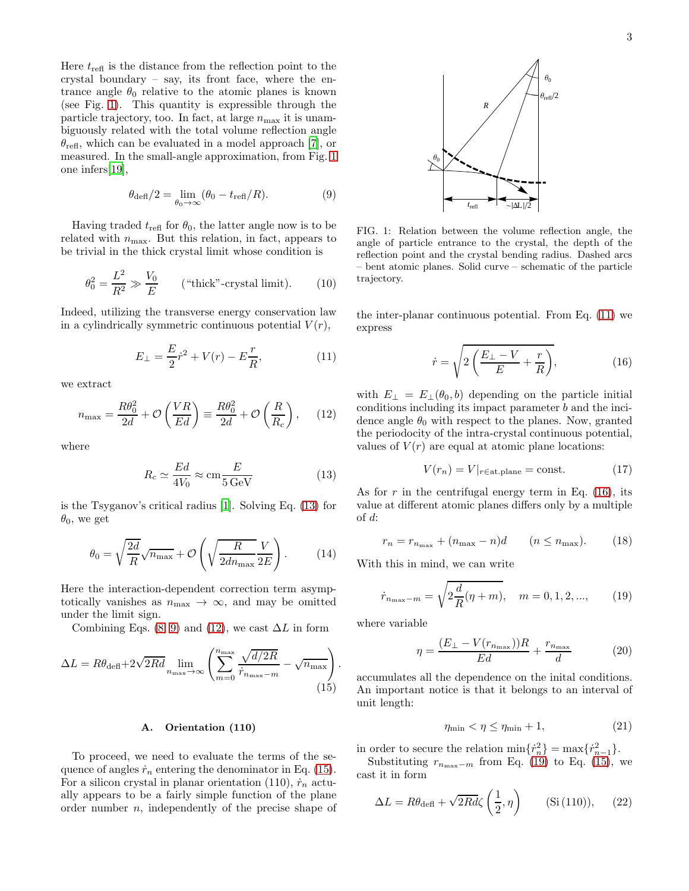Here  $t_{\text{refl}}$  is the distance from the reflection point to the crystal boundary – say, its front face, where the entrance angle  $\theta_0$  relative to the atomic planes is known (see Fig. [1\)](#page-2-0). This quantity is expressible through the particle trajectory, too. In fact, at large  $n_{\text{max}}$  it is unambiguously related with the total volume reflection angle  $\theta_{\text{refl}}$ , which can be evaluated in a model approach [\[7](#page-10-9)], or measured. In the small-angle approximation, from Fig. [1](#page-2-0) one infers[\[19\]](#page-10-10),

<span id="page-2-2"></span>
$$
\theta_{\text{def}}/2 = \lim_{\theta_0 \to \infty} (\theta_0 - t_{\text{refl}}/R). \tag{9}
$$

Having traded  $t_{\text{refl}}$  for  $\theta_0$ , the latter angle now is to be related with  $n_{\text{max}}$ . But this relation, in fact, appears to be trivial in the thick crystal limit whose condition is

$$
\theta_0^2 = \frac{L^2}{R^2} \gg \frac{V_0}{E} \qquad \text{("thick"-crystal limit)}.\tag{10}
$$

Indeed, utilizing the transverse energy conservation law in a cylindrically symmetric continuous potential  $V(r)$ ,

<span id="page-2-5"></span>
$$
E_{\perp} = \frac{E}{2}\dot{r}^2 + V(r) - E\frac{r}{R},\tag{11}
$$

we extract

<span id="page-2-3"></span>
$$
n_{\text{max}} = \frac{R\theta_0^2}{2d} + \mathcal{O}\left(\frac{VR}{Ed}\right) \equiv \frac{R\theta_0^2}{2d} + \mathcal{O}\left(\frac{R}{R_c}\right), \quad (12)
$$

where

<span id="page-2-1"></span>
$$
R_c \simeq \frac{Ed}{4V_0} \approx \text{cm} \frac{E}{5 \,\text{GeV}}\tag{13}
$$

is the Tsyganov's critical radius [\[1](#page-10-0)]. Solving Eq. [\(13\)](#page-2-1) for  $\theta_0$ , we get

$$
\theta_0 = \sqrt{\frac{2d}{R}} \sqrt{n_{\text{max}}} + \mathcal{O}\left(\sqrt{\frac{R}{2dn_{\text{max}}}} \frac{V}{2E}\right). \tag{14}
$$

Here the interaction-dependent correction term asymptotically vanishes as  $n_{\text{max}} \to \infty$ , and may be omitted under the limit sign.

Combining Eqs. [\(8,](#page-1-5) [9\)](#page-2-2) and [\(12\)](#page-2-3), we cast  $\Delta L$  in form

<span id="page-2-4"></span>
$$
\Delta L = R\theta_{\text{def}} + 2\sqrt{2Rd} \lim_{n_{\text{max}} \to \infty} \left( \sum_{m=0}^{n_{\text{max}}} \frac{\sqrt{d/2R}}{\dot{r}_{n_{\text{max}}-m}} - \sqrt{n_{\text{max}}} \right)
$$
(15)

#### A. Orientation (110)

To proceed, we need to evaluate the terms of the sequence of angles  $\dot{r}_n$  entering the denominator in Eq. [\(15\)](#page-2-4). For a silicon crystal in planar orientation (110),  $\dot{r}_n$  actually appears to be a fairly simple function of the plane order number n, independently of the precise shape of



<span id="page-2-0"></span>FIG. 1: Relation between the volume reflection angle, the angle of particle entrance to the crystal, the depth of the reflection point and the crystal bending radius. Dashed arcs – bent atomic planes. Solid curve – schematic of the particle trajectory.

the inter-planar continuous potential. From Eq. [\(11\)](#page-2-5) we express

<span id="page-2-6"></span>
$$
\dot{r} = \sqrt{2\left(\frac{E_{\perp} - V}{E} + \frac{r}{R}\right)},\tag{16}
$$

with  $E_{\perp} = E_{\perp}(\theta_0, b)$  depending on the particle initial conditions including its impact parameter b and the incidence angle  $\theta_0$  with respect to the planes. Now, granted the periodocity of the intra-crystal continuous potential, values of  $V(r)$  are equal at atomic plane locations:

$$
V(r_n) = V|_{r \in \text{at-plane}} = \text{const.} \tag{17}
$$

As for r in the centrifugal energy term in Eq.  $(16)$ , its value at different atomic planes differs only by a multiple of d:

$$
r_n = r_{n_{\text{max}}} + (n_{\text{max}} - n)d \qquad (n \le n_{\text{max}}). \tag{18}
$$

With this in mind, we can write

<span id="page-2-7"></span>
$$
\dot{r}_{n_{\text{max}}-m} = \sqrt{2\frac{d}{R}(\eta + m)}, \quad m = 0, 1, 2, ..., \tag{19}
$$

where variable

.

<span id="page-2-8"></span>
$$
\eta = \frac{(E_{\perp} - V(r_{n_{\text{max}}}))R}{Ed} + \frac{r_{n_{\text{max}}}}{d} \tag{20}
$$

accumulates all the dependence on the inital conditions. An important notice is that it belongs to an interval of unit length:

$$
\eta_{\min} < \eta \le \eta_{\min} + 1,\tag{21}
$$

in order to secure the relation  $\min\{r_n^2\} = \max\{r_{n-1}^2\}.$ 

Substituting  $r_{n_{\text{max}}-m}$  from Eq. [\(19\)](#page-2-7) to Eq. [\(15\)](#page-2-4), we cast it in form

<span id="page-2-9"></span>
$$
\Delta L = R\theta_{\text{defl}} + \sqrt{2Rd\zeta} \left(\frac{1}{2}, \eta\right) \qquad (\text{Si (110)}), \quad (22)
$$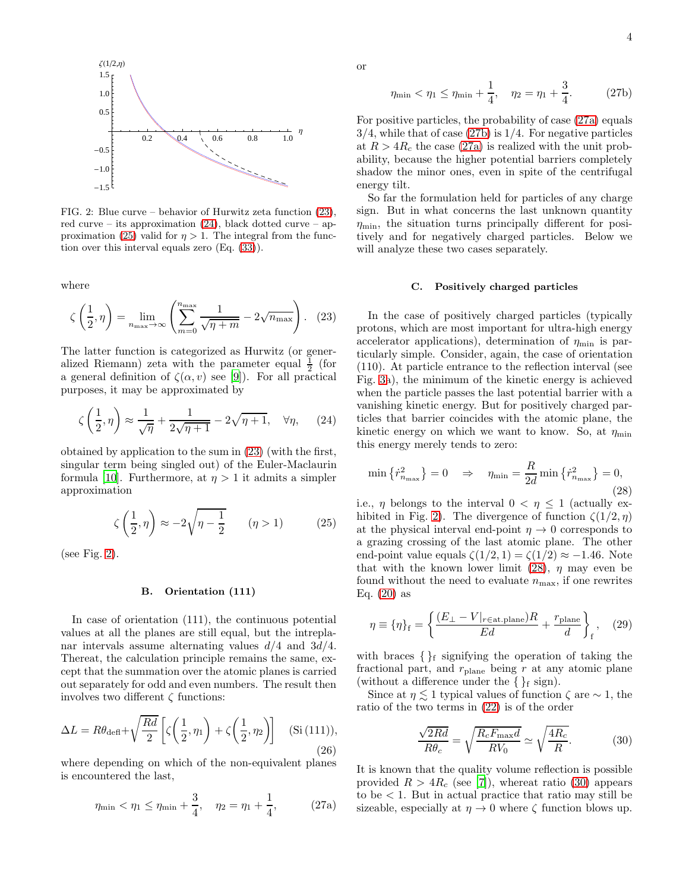

<span id="page-3-3"></span>FIG. 2: Blue curve – behavior of Hurwitz zeta function [\(23\)](#page-3-0), red curve – its approximation  $(24)$ , black dotted curve – ap-proximation [\(25\)](#page-3-2) valid for  $\eta > 1$ . The integral from the function over this interval equals zero (Eq. [\(33\)](#page-4-0)).

where

<span id="page-3-0"></span>
$$
\zeta\left(\frac{1}{2},\eta\right) = \lim_{n_{\text{max}} \to \infty} \left( \sum_{m=0}^{n_{\text{max}}} \frac{1}{\sqrt{\eta + m}} - 2\sqrt{n_{\text{max}}} \right). \quad (23)
$$

The latter function is categorized as Hurwitz (or generalized Riemann) zeta with the parameter equal  $\frac{1}{2}$  (for a general definition of  $\zeta(\alpha, v)$  see [\[9\]](#page-10-11)). For all practical purposes, it may be approximated by

<span id="page-3-1"></span>
$$
\zeta\left(\frac{1}{2},\eta\right) \approx \frac{1}{\sqrt{\eta}} + \frac{1}{2\sqrt{\eta+1}} - 2\sqrt{\eta+1}, \quad \forall \eta, \qquad (24)
$$

obtained by application to the sum in [\(23\)](#page-3-0) (with the first, singular term being singled out) of the Euler-Maclaurin formula [\[10\]](#page-10-12). Furthermore, at  $\eta > 1$  it admits a simpler approximation

<span id="page-3-2"></span>
$$
\zeta\left(\frac{1}{2},\eta\right) \approx -2\sqrt{\eta - \frac{1}{2}} \qquad (\eta > 1) \tag{25}
$$

(see Fig. [2\)](#page-3-3).

## B. Orientation (111)

In case of orientation (111), the continuous potential values at all the planes are still equal, but the intreplanar intervals assume alternating values  $d/4$  and  $3d/4$ . Thereat, the calculation principle remains the same, except that the summation over the atomic planes is carried out separately for odd and even numbers. The result then involves two different  $\zeta$  functions:

$$
\Delta L = R\theta_{\text{def}} + \sqrt{\frac{Rd}{2}} \left[ \zeta\left(\frac{1}{2}, \eta_1\right) + \zeta\left(\frac{1}{2}, \eta_2\right) \right] \quad (\text{Si (111)}),
$$
\n(26)

where depending on which of the non-equivalent planes is encountered the last,

<span id="page-3-4"></span>
$$
\eta_{\min} < \eta_1 \le \eta_{\min} + \frac{3}{4}, \quad \eta_2 = \eta_1 + \frac{1}{4}, \tag{27a}
$$

or

<span id="page-3-5"></span>
$$
\eta_{\min} < \eta_1 \le \eta_{\min} + \frac{1}{4}, \quad \eta_2 = \eta_1 + \frac{3}{4}.\tag{27b}
$$

For positive particles, the probability of case [\(27a\)](#page-3-4) equals  $3/4$ , while that of case  $(27b)$  is  $1/4$ . For negative particles at  $R > 4R_c$  the case [\(27a\)](#page-3-4) is realized with the unit probability, because the higher potential barriers completely shadow the minor ones, even in spite of the centrifugal energy tilt.

So far the formulation held for particles of any charge sign. But in what concerns the last unknown quantity  $\eta_{\text{min}}$ , the situation turns principally different for positively and for negatively charged particles. Below we will analyze these two cases separately.

#### C. Positively charged particles

In the case of positively charged particles (typically protons, which are most important for ultra-high energy accelerator applications), determination of  $\eta_{\min}$  is particularly simple. Consider, again, the case of orientation (110). At particle entrance to the reflection interval (see Fig. [3a](#page-4-1)), the minimum of the kinetic energy is achieved when the particle passes the last potential barrier with a vanishing kinetic energy. But for positively charged particles that barrier coincides with the atomic plane, the kinetic energy on which we want to know. So, at  $\eta_{\min}$ this energy merely tends to zero:

<span id="page-3-6"></span>
$$
\min\left\{\dot{r}_{n_{\text{max}}}^2\right\} = 0 \quad \Rightarrow \quad \eta_{\text{min}} = \frac{R}{2d} \min\left\{\dot{r}_{n_{\text{max}}}^2\right\} = 0,\tag{28}
$$

i.e.,  $\eta$  belongs to the interval  $0 < \eta \leq 1$  (actually ex-hibited in Fig. [2\)](#page-3-3). The divergence of function  $\zeta(1/2, \eta)$ at the physical interval end-point  $\eta \to 0$  corresponds to a grazing crossing of the last atomic plane. The other end-point value equals  $\zeta(1/2, 1) = \zeta(1/2) \approx -1.46$ . Note that with the known lower limit [\(28\)](#page-3-6),  $\eta$  may even be found without the need to evaluate  $n_{\text{max}}$ , if one rewrites Eq.  $(20)$  as

<span id="page-3-8"></span>
$$
\eta \equiv \left\{ \eta \right\}_{\text{f}} = \left\{ \frac{(E_{\perp} - V|_{r \in \text{at-plane}})R}{Ed} + \frac{r_{\text{plane}}}{d} \right\}_{\text{f}}, \quad (29)
$$

with braces  $\{\}$ f signifying the operation of taking the fractional part, and  $r_{\text{plane}}$  being r at any atomic plane (without a difference under the  $\{\}$ <sub>f</sub> sign).

Since at  $\eta \lesssim 1$  typical values of function  $\zeta$  are  $\sim 1$ , the ratio of the two terms in [\(22\)](#page-2-9) is of the order

<span id="page-3-7"></span>
$$
\frac{\sqrt{2Rd}}{R\theta_c} = \sqrt{\frac{R_c F_{\text{max}}d}{RV_0}} \simeq \sqrt{\frac{4R_c}{R}}.\tag{30}
$$

It is known that the quality volume reflection is possible provided  $R > 4R_c$  (see [\[7\]](#page-10-9)), whereat ratio [\(30\)](#page-3-7) appears to be  $\lt 1$ . But in actual practice that ratio may still be sizeable, especially at  $\eta \to 0$  where  $\zeta$  function blows up.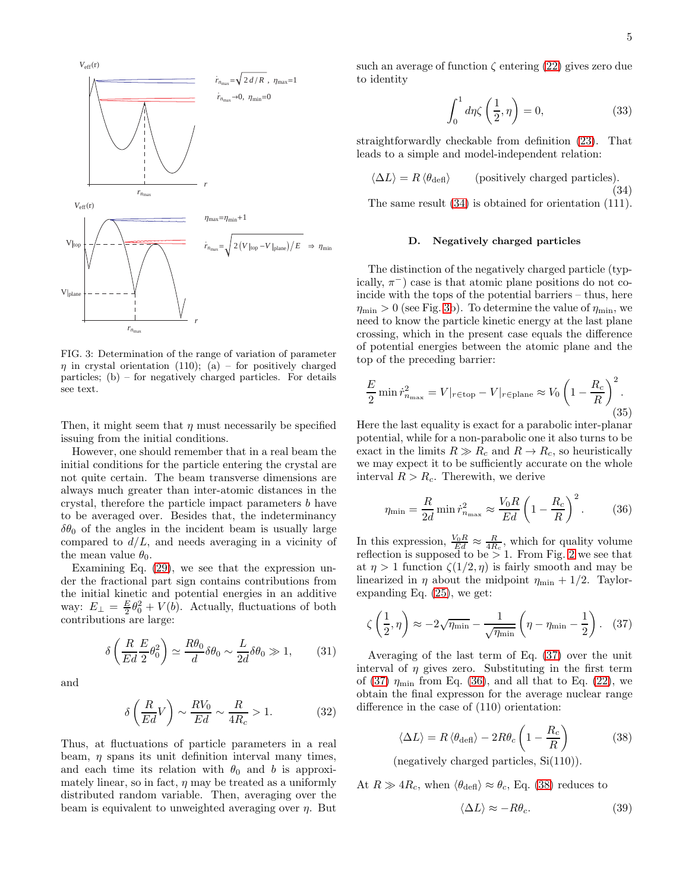

<span id="page-4-1"></span>FIG. 3: Determination of the range of variation of parameter  $\eta$  in crystal orientation (110); (a) – for positively charged particles; (b) – for negatively charged particles. For details see text.

Then, it might seem that  $\eta$  must necessarily be specified issuing from the initial conditions.

However, one should remember that in a real beam the initial conditions for the particle entering the crystal are not quite certain. The beam transverse dimensions are always much greater than inter-atomic distances in the crystal, therefore the particle impact parameters b have to be averaged over. Besides that, the indeterminancy  $\delta\theta_0$  of the angles in the incident beam is usually large compared to  $d/L$ , and needs averaging in a vicinity of the mean value  $\theta_0$ .

Examining Eq. [\(29\)](#page-3-8), we see that the expression under the fractional part sign contains contributions from the initial kinetic and potential energies in an additive way:  $E_{\perp} = \frac{E}{2}\theta_0^2 + V(b)$ . Actually, fluctuations of both contributions are large:

<span id="page-4-6"></span>
$$
\delta \left( \frac{R}{Ed} \frac{E}{2} \theta_0^2 \right) \simeq \frac{R \theta_0}{d} \delta \theta_0 \sim \frac{L}{2d} \delta \theta_0 \gg 1, \tag{31}
$$

and

$$
\delta\left(\frac{R}{Ed}V\right) \sim \frac{RV_0}{Ed} \sim \frac{R}{4R_c} > 1.
$$
 (32)

Thus, at fluctuations of particle parameters in a real beam,  $\eta$  spans its unit definition interval many times, and each time its relation with  $\theta_0$  and b is approximately linear, so in fact,  $\eta$  may be treated as a uniformly distributed random variable. Then, averaging over the beam is equivalent to unweighted averaging over  $\eta$ . But

such an average of function  $\zeta$  entering [\(22\)](#page-2-9) gives zero due to identity

<span id="page-4-0"></span>
$$
\int_0^1 d\eta \zeta \left(\frac{1}{2}, \eta\right) = 0,\tag{33}
$$

straightforwardly checkable from definition [\(23\)](#page-3-0). That leads to a simple and model-independent relation:

<span id="page-4-2"></span>
$$
\langle \Delta L \rangle = R \langle \theta_{\text{def}} \rangle \qquad \text{(positively charged particles)}.\tag{34}
$$

The same result [\(34\)](#page-4-2) is obtained for orientation (111).

### D. Negatively charged particles

The distinction of the negatively charged particle (typically,  $\pi^-$ ) case is that atomic plane positions do not coincide with the tops of the potential barriers – thus, here  $\eta_{\min} > 0$  (see Fig. [3b](#page-4-1)). To determine the value of  $\eta_{\min}$ , we need to know the particle kinetic energy at the last plane crossing, which in the present case equals the difference of potential energies between the atomic plane and the top of the preceding barrier:

$$
\frac{E}{2} \min \dot{r}_{n_{\text{max}}}^2 = V|_{r \in \text{top}} - V|_{r \in \text{plane}} \approx V_0 \left(1 - \frac{R_c}{R}\right)^2.
$$
\n(35)

Here the last equality is exact for a parabolic inter-planar potential, while for a non-parabolic one it also turns to be exact in the limits  $R \gg R_c$  and  $R \to R_c$ , so heuristically we may expect it to be sufficiently accurate on the whole interval  $R > R_c$ . Therewith, we derive

<span id="page-4-4"></span>
$$
\eta_{\min} = \frac{R}{2d} \min \dot{r}_{n_{\max}}^2 \approx \frac{V_0 R}{Ed} \left( 1 - \frac{R_c}{R} \right)^2. \tag{36}
$$

In this expression,  $\frac{V_0 R}{E d} \approx \frac{R}{4R_c}$ , which for quality volume reflection is supposed to be  $> 1$ . From Fig. [2](#page-3-3) we see that at  $\eta > 1$  function  $\zeta(1/2, \eta)$  is fairly smooth and may be linearized in  $\eta$  about the midpoint  $\eta_{\text{min}} + 1/2$ . Taylorexpanding Eq. [\(25\)](#page-3-2), we get:

<span id="page-4-3"></span>
$$
\zeta\left(\frac{1}{2},\eta\right) \approx -2\sqrt{\eta_{\min}} - \frac{1}{\sqrt{\eta_{\min}}} \left(\eta - \eta_{\min} - \frac{1}{2}\right). \quad (37)
$$

Averaging of the last term of Eq. [\(37\)](#page-4-3) over the unit interval of  $\eta$  gives zero. Substituting in the first term of [\(37\)](#page-4-3)  $\eta_{\text{min}}$  from Eq. [\(36\)](#page-4-4), and all that to Eq. [\(22\)](#page-2-9), we obtain the final expresson for the average nuclear range difference in the case of (110) orientation:

<span id="page-4-5"></span>
$$
\langle \Delta L \rangle = R \langle \theta_{\text{defl}} \rangle - 2R \theta_c \left( 1 - \frac{R_c}{R} \right) \tag{38}
$$

(negatively charged particles, Si(110)).

At  $R \gg 4R_c$ , when  $\langle \theta_{\text{def}} \rangle \approx \theta_c$ , Eq. [\(38\)](#page-4-5) reduces to

<span id="page-4-7"></span>
$$
\langle \Delta L \rangle \approx -R\theta_c. \tag{39}
$$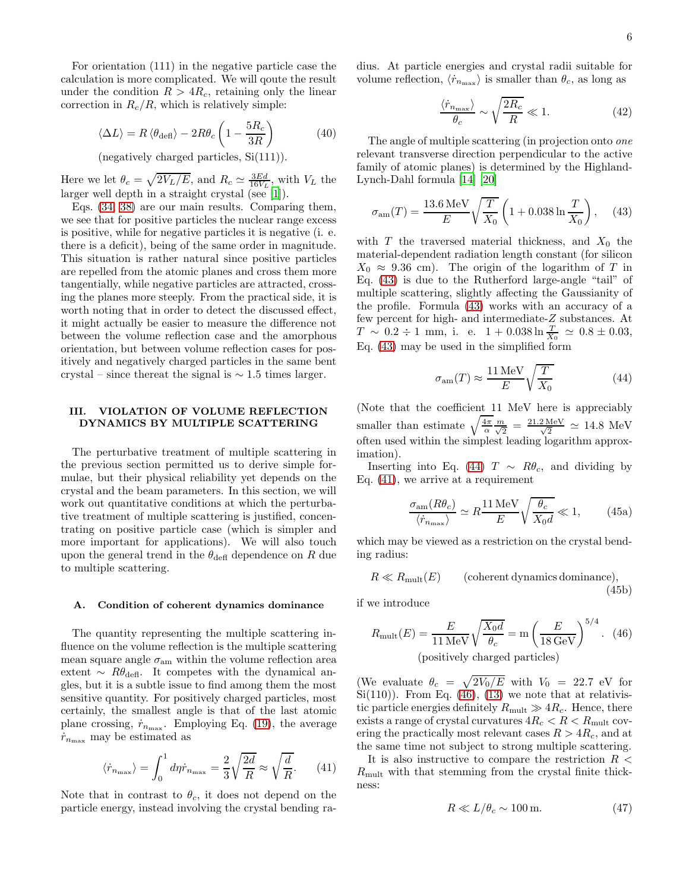For orientation (111) in the negative particle case the calculation is more complicated. We will qoute the result under the condition  $R > 4R_c$ , retaining only the linear correction in  $R_c/R$ , which is relatively simple:

$$
\langle \Delta L \rangle = R \langle \theta_{\text{def}} \rangle - 2R \theta_c \left( 1 - \frac{5R_c}{3R} \right) \tag{40}
$$

(negatively charged particles, Si(111)).

Here we let  $\theta_c = \sqrt{2V_L/E}$ , and  $R_c \simeq \frac{3Ed}{16V_L}$ , with  $V_L$  the larger well depth in a straight crystal (see [\[1\]](#page-10-0)).

Eqs. [\(34,](#page-4-2) [38\)](#page-4-5) are our main results. Comparing them, we see that for positive particles the nuclear range excess is positive, while for negative particles it is negative (i. e. there is a deficit), being of the same order in magnitude. This situation is rather natural since positive particles are repelled from the atomic planes and cross them more tangentially, while negative particles are attracted, crossing the planes more steeply. From the practical side, it is worth noting that in order to detect the discussed effect, it might actually be easier to measure the difference not between the volume reflection case and the amorphous orientation, but between volume reflection cases for positively and negatively charged particles in the same bent crystal – since thereat the signal is  $\sim 1.5$  times larger.

## <span id="page-5-0"></span>III. VIOLATION OF VOLUME REFLECTION DYNAMICS BY MULTIPLE SCATTERING

The perturbative treatment of multiple scattering in the previous section permitted us to derive simple formulae, but their physical reliability yet depends on the crystal and the beam parameters. In this section, we will work out quantitative conditions at which the perturbative treatment of multiple scattering is justified, concentrating on positive particle case (which is simpler and more important for applications). We will also touch upon the general trend in the  $\theta_{\text{def}}$  dependence on R due to multiple scattering.

#### A. Condition of coherent dynamics dominance

The quantity representing the multiple scattering influence on the volume reflection is the multiple scattering mean square angle  $\sigma_{\text{am}}$  within the volume reflection area extent  $~\sim~ R\theta_{\text{def}}$ . It competes with the dynamical angles, but it is a subtle issue to find among them the most sensitive quantity. For positively charged particles, most certainly, the smallest angle is that of the last atomic plane crossing,  $\dot{r}_{n_{\text{max}}}$ . Employing Eq. [\(19\)](#page-2-7), the average  $\dot{r}_{n_{\text{max}}}$  may be estimated as

<span id="page-5-3"></span>
$$
\langle \dot{r}_{n_{\text{max}}} \rangle = \int_0^1 d\eta \dot{r}_{n_{\text{max}}} = \frac{2}{3} \sqrt{\frac{2d}{R}} \approx \sqrt{\frac{d}{R}}. \tag{41}
$$

Note that in contrast to  $\theta_c$ , it does not depend on the particle energy, instead involving the crystal bending radius. At particle energies and crystal radii suitable for volume reflection,  $\langle \dot{r}_{n_{\text{max}}} \rangle$  is smaller than  $\theta_c$ , as long as

$$
\frac{\langle \dot{r}_{n_{\text{max}}} \rangle}{\theta_c} \sim \sqrt{\frac{2R_c}{R}} \ll 1. \tag{42}
$$

The angle of multiple scattering (in projection onto one relevant transverse direction perpendicular to the active family of atomic planes) is determined by the Highland-Lynch-Dahl formula [\[14\]](#page-10-13) [\[20](#page-10-14)]

<span id="page-5-1"></span>
$$
\sigma_{\rm am}(T) = \frac{13.6 \,\text{MeV}}{E} \sqrt{\frac{T}{X_0}} \left( 1 + 0.038 \ln \frac{T}{X_0} \right), \quad (43)
$$

with T the traversed material thickness, and  $X_0$  the material-dependent radiation length constant (for silicon  $X_0 \approx 9.36$  cm). The origin of the logarithm of T in Eq. [\(43\)](#page-5-1) is due to the Rutherford large-angle "tail" of multiple scattering, slightly affecting the Gaussianity of the profile. Formula [\(43\)](#page-5-1) works with an accuracy of a few percent for high- and intermediate-Z substances. At  $T \sim 0.2 \div 1$  mm, i. e.  $1 + 0.038 \ln \frac{T}{X_0} \simeq 0.8 \pm 0.03$ , Eq. [\(43\)](#page-5-1) may be used in the simplified form

<span id="page-5-2"></span>
$$
\sigma_{\rm am}(T) \approx \frac{11 \,\text{MeV}}{E} \sqrt{\frac{T}{X_0}} \tag{44}
$$

(Note that the coefficient 11 MeV here is appreciably smaller than estimate  $\sqrt{\frac{4\pi}{\alpha}} \frac{m}{\sqrt{2}} = \frac{21.2 \text{ MeV}}{\sqrt{2}} \approx 14.8 \text{ MeV}$ often used within the simplest leading logarithm approximation).

Inserting into Eq. [\(44\)](#page-5-2) T  $\sim$  R $\theta_c$ , and dividing by Eq. [\(41\)](#page-5-3), we arrive at a requirement

<span id="page-5-8"></span><span id="page-5-5"></span>
$$
\frac{\sigma_{\text{am}}(R\theta_c)}{\langle \dot{r}_{n_{\text{max}}} \rangle} \simeq R \frac{11 \,\text{MeV}}{E} \sqrt{\frac{\theta_c}{X_0 d}} \ll 1,\tag{45a}
$$

which may be viewed as a restriction on the crystal bending radius:

<span id="page-5-7"></span>
$$
R \ll R_{\text{mult}}(E) \qquad \text{(coherent dynamics dominance)},\tag{45b}
$$

if we introduce

<span id="page-5-4"></span>
$$
R_{\text{mult}}(E) = \frac{E}{11 \text{ MeV}} \sqrt{\frac{X_0 d}{\theta_c}} = \text{m} \left(\frac{E}{18 \text{ GeV}}\right)^{5/4}.
$$
 (46)  
(positively charged particles)

(We evaluate  $\theta_c = \sqrt{2V_0/E}$  with  $V_0 = 22.7$  eV for Si(110)). From Eq.  $(46)$ , [\(13\)](#page-2-1) we note that at relativistic particle energies definitely  $R_{\text{mult}} \gg 4R_c$ . Hence, there exists a range of crystal curvatures  $4R_c < R < R_{\text{mult}}$  covering the practically most relevant cases  $R > 4R_c$ , and at the same time not subject to strong multiple scattering.

It is also instructive to compare the restriction  $R$  <  $R_{\text{mult}}$  with that stemming from the crystal finite thickness:

<span id="page-5-6"></span>
$$
R \ll L/\theta_c \sim 100 \,\text{m}.\tag{47}
$$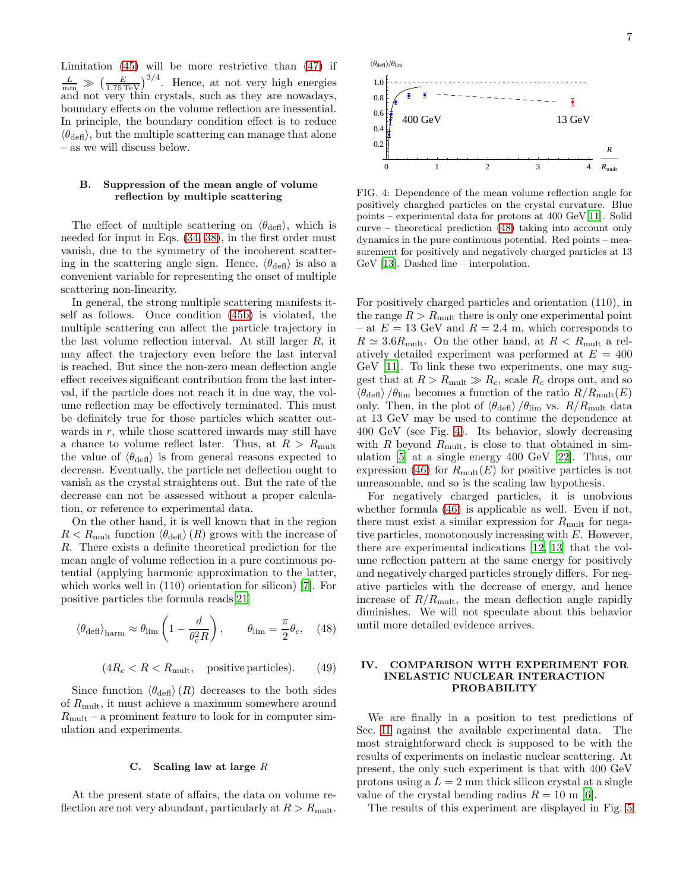Limitation [\(45\)](#page-5-5) will be more restrictive than [\(47\)](#page-5-6) if  $\frac{L}{m m} \gg \left(\frac{E}{1.75 \text{ TeV}}\right)^{3/4}$ . Hence, at not very high energies and not very thin crystals, such as they are nowadays, boundary effects on the volume reflection are inessential. In principle, the boundary condition effect is to reduce  $\langle \theta_{\text{def}} \rangle$ , but the multiple scattering can manage that alone – as we will discuss below.

## B. Suppression of the mean angle of volume reflection by multiple scattering

The effect of multiple scattering on  $\langle \theta_{\text{def}} \rangle$ , which is needed for input in Eqs. [\(34,](#page-4-2) [38\)](#page-4-5), in the first order must vanish, due to the symmetry of the incoherent scattering in the scattering angle sign. Hence,  $\langle \theta_{\text{def}} \rangle$  is also a convenient variable for representing the onset of multiple scattering non-linearity.

In general, the strong multiple scattering manifests itself as follows. Once condition [\(45b\)](#page-5-7) is violated, the multiple scattering can affect the particle trajectory in the last volume reflection interval. At still larger R, it may affect the trajectory even before the last interval is reached. But since the non-zero mean deflection angle effect receives significant contribution from the last interval, if the particle does not reach it in due way, the volume reflection may be effectively terminated. This must be definitely true for those particles which scatter outwards in r, while those scattered inwards may still have a chance to volume reflect later. Thus, at  $R > R_{\text{mult}}$ the value of  $\langle \theta_{\text{def}} \rangle$  is from general reasons expected to decrease. Eventually, the particle net deflection ought to vanish as the crystal straightens out. But the rate of the decrease can not be assessed without a proper calculation, or reference to experimental data.

On the other hand, it is well known that in the region  $R < R_{\text{mult}}$  function  $\langle \theta_{\text{def}} \rangle(R)$  grows with the increase of R. There exists a definite theoretical prediction for the mean angle of volume reflection in a pure continuous potential (applying harmonic approximation to the latter, which works well in (110) orientation for silicon) [\[7\]](#page-10-9). For positive particles the formula reads[\[21\]](#page-11-0)

<span id="page-6-1"></span>
$$
\langle \theta_{\text{def}} \rangle_{\text{harm}} \approx \theta_{\text{lim}} \left( 1 - \frac{d}{\theta_c^2 R} \right), \qquad \theta_{\text{lim}} = \frac{\pi}{2} \theta_c, \quad (48)
$$

$$
(4R_c < R < Rmult, positive particles).
$$
 (49)

Since function  $\langle \theta_{\text{def}} \rangle(R)$  decreases to the both sides of  $R_{\text{mult}}$ , it must achieve a maximum somewhere around  $R_{\text{mult}}$  – a prominent feature to look for in computer simulation and experiments.

### C. Scaling law at large  $R$

At the present state of affairs, the data on volume reflection are not very abundant, particularly at  $R > R_{\text{mult}}$ .



<span id="page-6-2"></span>FIG. 4: Dependence of the mean volume reflection angle for positively charghed particles on the crystal curvature. Blue points – experimental data for protons at 400 GeV[\[11\]](#page-10-15). Solid curve – theoretical prediction [\(48\)](#page-6-1) taking into account only dynamics in the pure continuous potential. Red points – measurement for positively and negatively charged particles at 13 GeV [\[13](#page-10-16)]. Dashed line – interpolation.

For positively charged particles and orientation (110), in the range  $R > R<sub>mult</sub>$  there is only one experimental point – at  $E = 13$  GeV and  $R = 2.4$  m, which corresponds to  $R \simeq 3.6R_{\text{mult}}$ . On the other hand, at  $R < R_{\text{mult}}$  a relatively detailed experiment was performed at  $E = 400$ GeV [\[11](#page-10-15)]. To link these two experiments, one may suggest that at  $R > R_{\text{mult}} \gg R_c$ , scale  $R_c$  drops out, and so  $\langle \theta_{\text{def}} \rangle / \theta_{\text{lim}}$  becomes a function of the ratio  $R/R_{\text{mult}}(E)$ only. Then, in the plot of  $\langle \theta_{\text{def}} \rangle / \theta_{\text{lim}}$  vs.  $R/R_{\text{mult}}$  data at 13 GeV may be used to continue the dependence at 400 GeV (see Fig. [4\)](#page-6-2). Its behavior, slowly decreasing with  $R$  beyond  $R_{\text{mult}}$ , is close to that obtained in simulation [\[5\]](#page-10-4) at a single energy 400 GeV [\[22\]](#page-11-1). Thus, our expression [\(46\)](#page-5-4) for  $R_{\text{mult}}(E)$  for positive particles is not unreasonable, and so is the scaling law hypothesis.

For negatively charged particles, it is unobvious whether formula [\(46\)](#page-5-4) is applicable as well. Even if not, there must exist a similar expression for  $R_{\text{mult}}$  for negative particles, monotonously increasing with E. However, there are experimental indications [\[12,](#page-10-17) [13\]](#page-10-16) that the volume reflection pattern at the same energy for positively and negatively charged particles strongly differs. For negative particles with the decrease of energy, and hence increase of  $R/R_{\text{mult}}$ , the mean deflection angle rapidly diminishes. We will not speculate about this behavior until more detailed evidence arrives.

### <span id="page-6-0"></span>IV. COMPARISON WITH EXPERIMENT FOR INELASTIC NUCLEAR INTERACTION PROBABILITY

We are finally in a position to test predictions of Sec. [II](#page-1-0) against the available experimental data. The most straightforward check is supposed to be with the results of experiments on inelastic nuclear scattering. At present, the only such experiment is that with 400 GeV protons using a  $L = 2$  mm thick silicon crystal at a single value of the crystal bending radius  $R = 10$  m [\[6](#page-10-18)].

The results of this experiment are displayed in Fig. [5](#page-7-1)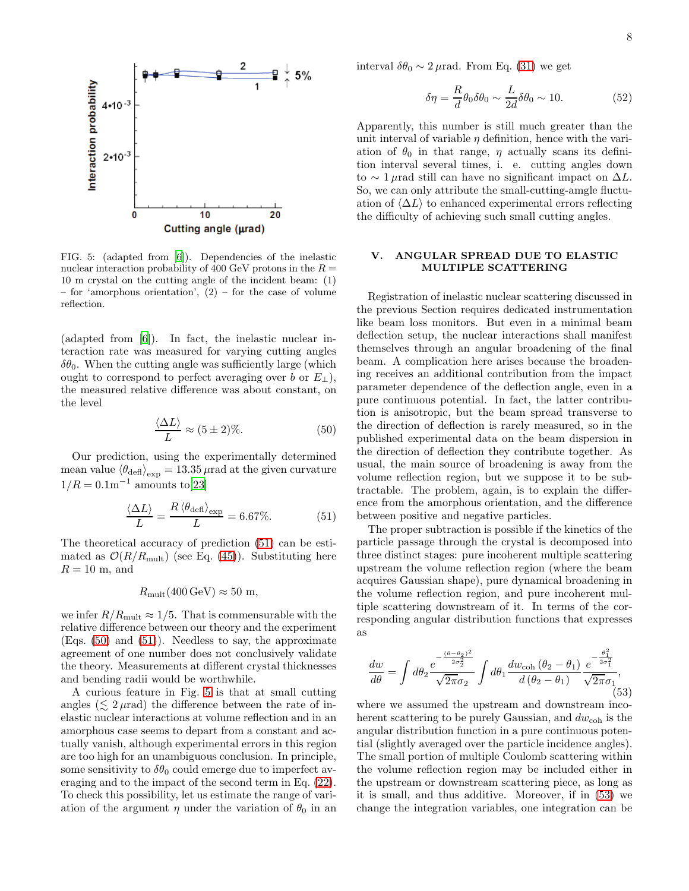

<span id="page-7-1"></span>FIG. 5: (adapted from [\[6\]](#page-10-18)). Dependencies of the inelastic nuclear interaction probability of 400 GeV protons in the  $R =$ 10 m crystal on the cutting angle of the incident beam: (1) – for 'amorphous orientation',  $(2)$  – for the case of volume reflection.

(adapted from [\[6\]](#page-10-18)). In fact, the inelastic nuclear interaction rate was measured for varying cutting angles  $\delta\theta_0$ . When the cutting angle was sufficiently large (which ought to correspond to perfect averaging over b or  $E_{\perp}$ ), the measured relative difference was about constant, on the level

<span id="page-7-3"></span>
$$
\frac{\langle \Delta L \rangle}{L} \approx (5 \pm 2)\%.\tag{50}
$$

Our prediction, using the experimentally determined mean value  $\langle \theta_{\rm def} \rangle_{\rm exp} = 13.35\,\mu$ rad at the given curvature  $1/R = 0.1 \text{m}^{-1}$  amounts to[\[23\]](#page-11-2)

<span id="page-7-2"></span>
$$
\frac{\langle \Delta L \rangle}{L} = \frac{R \langle \theta_{\text{def}} \rangle_{\text{exp}}}{L} = 6.67\%.
$$
 (51)

The theoretical accuracy of prediction [\(51\)](#page-7-2) can be estimated as  $\mathcal{O}(R/R_{\text{mult}})$  (see Eq. [\(45\)](#page-5-5)). Substituting here  $R = 10$  m, and

# $R_{\text{mult}}(400 \,\text{GeV}) \approx 50 \,\text{m}$ ,

we infer  $R/R_{\text{mult}} \approx 1/5$ . That is commensurable with the relative difference between our theory and the experiment (Eqs. [\(50\)](#page-7-3) and [\(51\)](#page-7-2)). Needless to say, the approximate agreement of one number does not conclusively validate the theory. Measurements at different crystal thicknesses and bending radii would be worthwhile.

A curious feature in Fig. [5](#page-7-1) is that at small cutting angles  $(\leq 2 \mu \text{rad})$  the difference between the rate of inelastic nuclear interactions at volume reflection and in an amorphous case seems to depart from a constant and actually vanish, although experimental errors in this region are too high for an unambiguous conclusion. In principle, some sensitivity to  $\delta\theta_0$  could emerge due to imperfect averaging and to the impact of the second term in Eq. [\(22\)](#page-2-9). To check this possibility, let us estimate the range of variation of the argument  $\eta$  under the variation of  $\theta_0$  in an

interval  $\delta\theta_0 \sim 2 \mu$ rad. From Eq. [\(31\)](#page-4-6) we get

$$
\delta \eta = \frac{R}{d} \theta_0 \delta \theta_0 \sim \frac{L}{2d} \delta \theta_0 \sim 10. \tag{52}
$$

Apparently, this number is still much greater than the unit interval of variable  $\eta$  definition, hence with the variation of  $\theta_0$  in that range,  $\eta$  actually scans its definition interval several times, i. e. cutting angles down to  $\sim 1 \mu$ rad still can have no significant impact on  $\Delta L$ . So, we can only attribute the small-cutting-amgle fluctuation of  $\langle \Delta L \rangle$  to enhanced experimental errors reflecting the difficulty of achieving such small cutting angles.

# <span id="page-7-0"></span>V. ANGULAR SPREAD DUE TO ELASTIC MULTIPLE SCATTERING

Registration of inelastic nuclear scattering discussed in the previous Section requires dedicated instrumentation like beam loss monitors. But even in a minimal beam deflection setup, the nuclear interactions shall manifest themselves through an angular broadening of the final beam. A complication here arises because the broadening receives an additional contribution from the impact parameter dependence of the deflection angle, even in a pure continuous potential. In fact, the latter contribution is anisotropic, but the beam spread transverse to the direction of deflection is rarely measured, so in the published experimental data on the beam dispersion in the direction of deflection they contribute together. As usual, the main source of broadening is away from the volume reflection region, but we suppose it to be subtractable. The problem, again, is to explain the difference from the amorphous orientation, and the difference between positive and negative particles.

The proper subtraction is possible if the kinetics of the particle passage through the crystal is decomposed into three distinct stages: pure incoherent multiple scattering upstream the volume reflection region (where the beam acquires Gaussian shape), pure dynamical broadening in the volume reflection region, and pure incoherent multiple scattering downstream of it. In terms of the corresponding angular distribution functions that expresses as

<span id="page-7-4"></span>
$$
\frac{dw}{d\theta} = \int d\theta_2 \frac{e^{-\frac{(\theta - \theta_2)^2}{2\sigma_2^2}}}{\sqrt{2\pi}\sigma_2} \int d\theta_1 \frac{dw_{\text{coh}}(\theta_2 - \theta_1)}{d(\theta_2 - \theta_1)} \frac{e^{-\frac{\theta_1^2}{2\sigma_1^2}}}{\sqrt{2\pi}\sigma_1},\tag{53}
$$

where we assumed the upstream and downstream incoherent scattering to be purely Gaussian, and  $dw_{\text{coh}}$  is the angular distribution function in a pure continuous potential (slightly averaged over the particle incidence angles). The small portion of multiple Coulomb scattering within the volume reflection region may be included either in the upstream or downstream scattering piece, as long as it is small, and thus additive. Moreover, if in [\(53\)](#page-7-4) we change the integration variables, one integration can be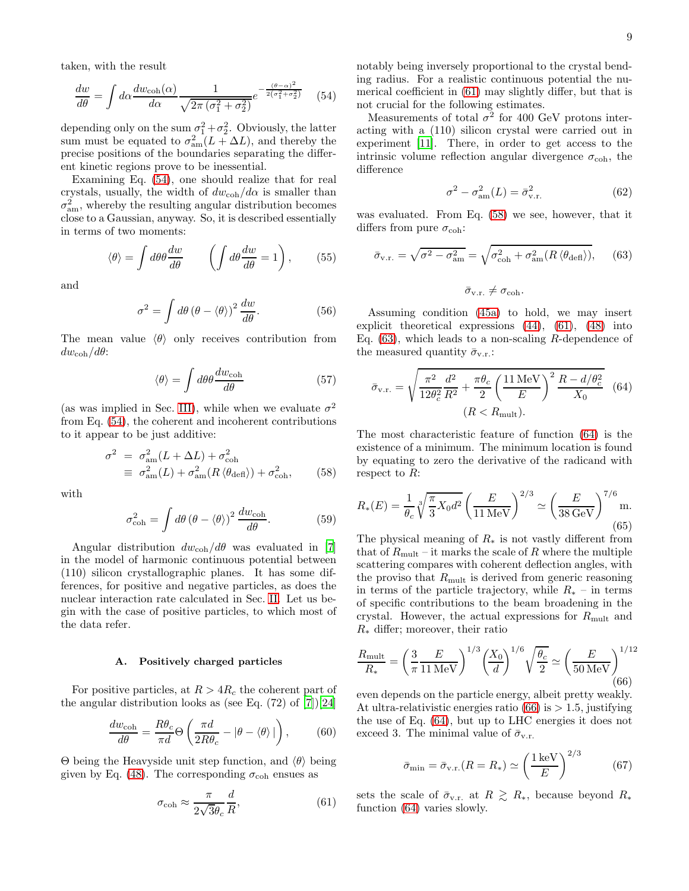taken, with the result

<span id="page-8-0"></span>
$$
\frac{dw}{d\theta} = \int d\alpha \frac{dw_{\text{coh}}(\alpha)}{d\alpha} \frac{1}{\sqrt{2\pi (\sigma_1^2 + \sigma_2^2)}} e^{-\frac{(\theta - \alpha)^2}{2(\sigma_1^2 + \sigma_2^2)}} \quad (54)
$$

depending only on the sum  $\sigma_1^2 + \sigma_2^2$ . Obviously, the latter sum must be equated to  $\sigma_{am}^2(L + \Delta L)$ , and thereby the precise positions of the boundaries separating the different kinetic regions prove to be inessential.

Examining Eq. [\(54\)](#page-8-0), one should realize that for real crystals, usually, the width of  $dw_{\text{coh}}/d\alpha$  is smaller than  $\sigma_{\text{am}}^2$ , whereby the resulting angular distribution becomes close to a Gaussian, anyway. So, it is described essentially in terms of two moments:

$$
\langle \theta \rangle = \int d\theta \theta \frac{dw}{d\theta} \qquad \left( \int d\theta \frac{dw}{d\theta} = 1 \right), \qquad (55)
$$

and

$$
\sigma^2 = \int d\theta \, (\theta - \langle \theta \rangle)^2 \, \frac{dw}{d\theta}.\tag{56}
$$

The mean value  $\langle \theta \rangle$  only receives contribution from  $dw_{\text{coh}}/d\theta$ :

$$
\langle \theta \rangle = \int d\theta \theta \frac{dw_{\text{coh}}}{d\theta} \tag{57}
$$

(as was implied in Sec. [III\)](#page-5-0), while when we evaluate  $\sigma^2$ from Eq. [\(54\)](#page-8-0), the coherent and incoherent contributions to it appear to be just additive:

<span id="page-8-2"></span>
$$
\sigma^2 = \sigma_{\text{am}}^2 (L + \Delta L) + \sigma_{\text{coh}}^2
$$
  
\n
$$
\equiv \sigma_{\text{am}}^2 (L) + \sigma_{\text{am}}^2 (R \langle \theta_{\text{def}} \rangle) + \sigma_{\text{coh}}^2,
$$
 (58)

with

$$
\sigma_{\text{coh}}^2 = \int d\theta \, (\theta - \langle \theta \rangle)^2 \, \frac{dw_{\text{coh}}}{d\theta}.\tag{59}
$$

Angular distribution  $dw_{\text{coh}}/d\theta$  was evaluated in [\[7](#page-10-9)] in the model of harmonic continuous potential between (110) silicon crystallographic planes. It has some differences, for positive and negative particles, as does the nuclear interaction rate calculated in Sec. [II.](#page-1-0) Let us begin with the case of positive particles, to which most of the data refer.

#### Positively charged particles

For positive particles, at  $R > 4R_c$  the coherent part of the angular distribution looks as (see Eq.  $(72)$  of  $[7]$ ) $[24]$  $[24]$ 

$$
\frac{dw_{\rm coh}}{d\theta} = \frac{R\theta_c}{\pi d} \Theta \left( \frac{\pi d}{2R\theta_c} - |\theta - \langle \theta \rangle| \right),\tag{60}
$$

Θ being the Heavyside unit step function, and  $\langle θ \rangle$  being given by Eq. [\(48\)](#page-6-1). The corresponding  $\sigma_{\rm coh}$  ensues as

<span id="page-8-1"></span>
$$
\sigma_{\rm coh} \approx \frac{\pi}{2\sqrt{3}\theta_c} \frac{d}{R},\tag{61}
$$

notably being inversely proportional to the crystal bending radius. For a realistic continuous potential the numerical coefficient in [\(61\)](#page-8-1) may slightly differ, but that is not crucial for the following estimates.

Measurements of total  $\sigma^2$  for 400 GeV protons interacting with a (110) silicon crystal were carried out in experiment [\[11](#page-10-15)]. There, in order to get access to the intrinsic volume reflection angular divergence  $\sigma_{\rm coh}$ , the difference

$$
\sigma^2 - \sigma_{\text{am}}^2(L) = \bar{\sigma}_{v.r.}^2 \tag{62}
$$

was evaluated. From Eq. [\(58\)](#page-8-2) we see, however, that it differs from pure  $\sigma_{\rm coh}$ :

<span id="page-8-3"></span>
$$
\bar{\sigma}_{\text{v.r.}} = \sqrt{\sigma^2 - \sigma_{\text{am}}^2} = \sqrt{\sigma_{\text{coh}}^2 + \sigma_{\text{am}}^2 (R \langle \theta_{\text{def}} \rangle)},\qquad(63)
$$

 $\bar{\sigma}_{v.r.} \neq \sigma_{coh}.$ 

Assuming condition [\(45a\)](#page-5-8) to hold, we may insert explicit theoretical expressions [\(44\)](#page-5-2), [\(61\)](#page-8-1), [\(48\)](#page-6-1) into Eq.  $(63)$ , which leads to a non-scaling R-dependence of the measured quantity  $\bar{\sigma}_{v.r.}$ :

<span id="page-8-4"></span>
$$
\bar{\sigma}_{v.r.} = \sqrt{\frac{\pi^2}{12\theta_c^2} \frac{d^2}{R^2} + \frac{\pi\theta_c}{2} \left(\frac{11 \,\text{MeV}}{E}\right)^2 \frac{R - d/\theta_c^2}{X_0}} \quad (64)
$$
\n
$$
(R < R_{\text{mult}}).
$$

The most characteristic feature of function [\(64\)](#page-8-4) is the existence of a minimum. The minimum location is found by equating to zero the derivative of the radicand with respect to R:

<span id="page-8-6"></span>
$$
R_*(E) = \frac{1}{\theta_c} \sqrt[3]{\frac{\pi}{3} X_0 d^2} \left(\frac{E}{11 \,\text{MeV}}\right)^{2/3} \simeq \left(\frac{E}{38 \,\text{GeV}}\right)^{7/6} \text{m.}
$$
\n(65)

The physical meaning of  $R_*$  is not vastly different from that of  $R_{\text{mult}}$  – it marks the scale of R where the multiple scattering compares with coherent deflection angles, with the proviso that  $R_{\text{mult}}$  is derived from generic reasoning in terms of the particle trajectory, while  $R_*$  – in terms of specific contributions to the beam broadening in the crystal. However, the actual expressions for  $R_{\text{mult}}$  and  $R_*$  differ; moreover, their ratio

<span id="page-8-5"></span>
$$
\frac{R_{\text{mult}}}{R_*} = \left(\frac{3}{\pi} \frac{E}{11 \text{ MeV}}\right)^{1/3} \left(\frac{X_0}{d}\right)^{1/6} \sqrt{\frac{\theta_c}{2}} \simeq \left(\frac{E}{50 \text{ MeV}}\right)^{1/12} \tag{66}
$$

even depends on the particle energy, albeit pretty weakly. At ultra-relativistic energies ratio  $(66)$  is  $> 1.5$ , justifying the use of Eq. [\(64\)](#page-8-4), but up to LHC energies it does not exceed 3. The minimal value of  $\bar{\sigma}_{v.r.}$ 

$$
\bar{\sigma}_{\min} = \bar{\sigma}_{v.r.}(R = R_*) \simeq \left(\frac{1 \,\text{keV}}{E}\right)^{2/3} \tag{67}
$$

sets the scale of  $\bar{\sigma}_{v.r.}$  at  $R \geq R_*$ , because beyond  $R_*$ function [\(64\)](#page-8-4) varies slowly.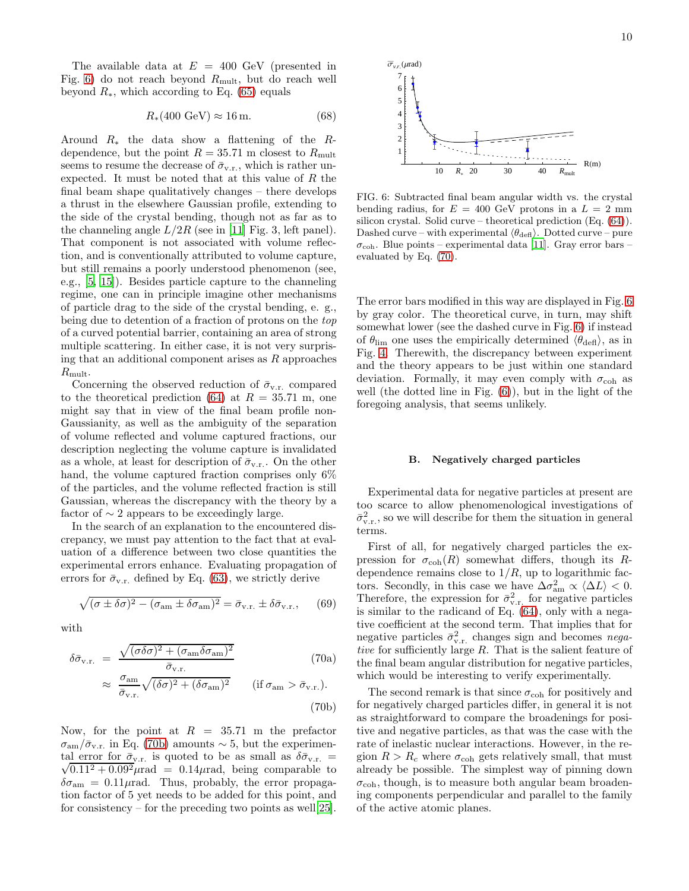The available data at  $E = 400$  GeV (presented in Fig. [6\)](#page-9-0) do not reach beyond  $R_{\text{mult}}$ , but do reach well beyond  $R_*$ , which according to Eq. [\(65\)](#page-8-6) equals

$$
R_*(400 \text{ GeV}) \approx 16 \text{ m.}
$$
 (68)

Around  $R_*$  the data show a flattening of the  $R$ dependence, but the point  $R = 35.71$  m closest to  $R_{\text{mult}}$ seems to resume the decrease of  $\bar{\sigma}_{v.r.}$ , which is rather unexpected. It must be noted that at this value of R the final beam shape qualitatively changes – there develops a thrust in the elsewhere Gaussian profile, extending to the side of the crystal bending, though not as far as to the channeling angle  $L/2R$  (see in [\[11\]](#page-10-15) Fig. 3, left panel). That component is not associated with volume reflection, and is conventionally attributed to volume capture, but still remains a poorly understood phenomenon (see, e.g., [\[5](#page-10-4), [15\]](#page-10-19)). Besides particle capture to the channeling regime, one can in principle imagine other mechanisms of particle drag to the side of the crystal bending, e. g., being due to detention of a fraction of protons on the top of a curved potential barrier, containing an area of strong multiple scattering. In either case, it is not very surprising that an additional component arises as  $R$  approaches  $R_{\text{mult}}$ .

Concerning the observed reduction of  $\bar{\sigma}_{v,r}$ , compared to the theoretical prediction [\(64\)](#page-8-4) at  $R = 35.71$  m, one might say that in view of the final beam profile non-Gaussianity, as well as the ambiguity of the separation of volume reflected and volume captured fractions, our description neglecting the volume capture is invalidated as a whole, at least for description of  $\bar{\sigma}_{v.r.}$ . On the other hand, the volume captured fraction comprises only 6% of the particles, and the volume reflected fraction is still Gaussian, whereas the discrepancy with the theory by a factor of  $\sim$  2 appears to be exceedingly large.

In the search of an explanation to the encountered discrepancy, we must pay attention to the fact that at evaluation of a difference between two close quantities the experimental errors enhance. Evaluating propagation of errors for  $\bar{\sigma}_{v,r}$ , defined by Eq. [\(63\)](#page-8-3), we strictly derive

$$
\sqrt{(\sigma \pm \delta \sigma)^2 - (\sigma_{\text{am}} \pm \delta \sigma_{\text{am}})^2} = \bar{\sigma}_{v.r.} \pm \delta \bar{\sigma}_{v.r.}, \qquad (69)
$$

<span id="page-9-2"></span>with

<span id="page-9-1"></span>
$$
\delta\bar{\sigma}_{v.r.} = \frac{\sqrt{(\sigma \delta \sigma)^2 + (\sigma_{am} \delta \sigma_{am})^2}}{\bar{\sigma}_{v.r.}} \qquad (70a)
$$

$$
\approx \frac{\sigma_{am}}{\bar{\sigma}_{v.r.}} \sqrt{(\delta \sigma)^2 + (\delta \sigma_{am})^2} \qquad (if \sigma_{am} > \bar{\sigma}_{v.r.}). \qquad (70b)
$$

Now, for the point at  $R = 35.71$  m the prefactor  $\sigma_{\rm am}/\bar{\sigma}_{\rm v.r.}$  in Eq. [\(70b\)](#page-9-1) amounts ~ 5, but the experimental error for  $\bar{\sigma}_{v,r}$  is quoted to be as small as  $\delta \bar{\sigma}_{v,r} =$ <br> $\sqrt{0.112 + 0.002}$  urad = 0.14 urad being comparable to  $\sqrt{0.11^2 + 0.09^2}$   $\mu$ rad = 0.14 $\mu$ rad, being comparable to  $\delta\sigma_{\text{am}} = 0.11\mu\text{rad}$ . Thus, probably, the error propagation factor of 5 yet needs to be added for this point, and for consistency – for the preceding two points as well [\[25\]](#page-11-4).



<span id="page-9-0"></span>FIG. 6: Subtracted final beam angular width vs. the crystal bending radius, for  $E = 400$  GeV protons in a  $L = 2$  mm silicon crystal. Solid curve – theoretical prediction (Eq. [\(64\)](#page-8-4)). Dashed curve – with experimental  $\langle \theta_{\text{def}} \rangle$ . Dotted curve – pure  $\sigma_{\rm coh}$ . Blue points – experimental data [\[11](#page-10-15)]. Gray error bars – evaluated by Eq. [\(70\)](#page-9-2).

The error bars modified in this way are displayed in Fig. [6](#page-9-0) by gray color. The theoretical curve, in turn, may shift somewhat lower (see the dashed curve in Fig. [6\)](#page-9-0) if instead of  $\theta_{\text{lim}}$  one uses the empirically determined  $\langle \theta_{\text{def}} \rangle$ , as in Fig. [4.](#page-6-2) Therewith, the discrepancy between experiment and the theory appears to be just within one standard deviation. Formally, it may even comply with  $\sigma_{\rm coh}$  as well (the dotted line in Fig. [\(6\)](#page-9-0)), but in the light of the foregoing analysis, that seems unlikely.

#### B. Negatively charged particles

Experimental data for negative particles at present are too scarce to allow phenomenological investigations of  $\bar{\sigma}_{v.r.}^2$ , so we will describe for them the situation in general terms.

First of all, for negatively charged particles the expression for  $\sigma_{\rm coh}(R)$  somewhat differs, though its Rdependence remains close to  $1/R$ , up to logarithmic factors. Secondly, in this case we have  $\Delta \sigma_{\text{am}}^2 \propto \langle \Delta L \rangle < 0$ . Therefore, the expression for  $\bar{\sigma}_{v,r}^2$  for negative particles is similar to the radicand of Eq. [\(64\)](#page-8-4), only with a negative coefficient at the second term. That implies that for negative particles  $\bar{\sigma}_{v.r.}^2$  changes sign and becomes negative for sufficiently large  $R$ . That is the salient feature of the final beam angular distribution for negative particles, which would be interesting to verify experimentally.

The second remark is that since  $\sigma_{\text{coh}}$  for positively and for negatively charged particles differ, in general it is not as straightforward to compare the broadenings for positive and negative particles, as that was the case with the rate of inelastic nuclear interactions. However, in the region  $R > R_c$  where  $\sigma_{coh}$  gets relatively small, that must already be possible. The simplest way of pinning down  $\sigma_{\rm coh}$ , though, is to measure both angular beam broadening components perpendicular and parallel to the family of the active atomic planes.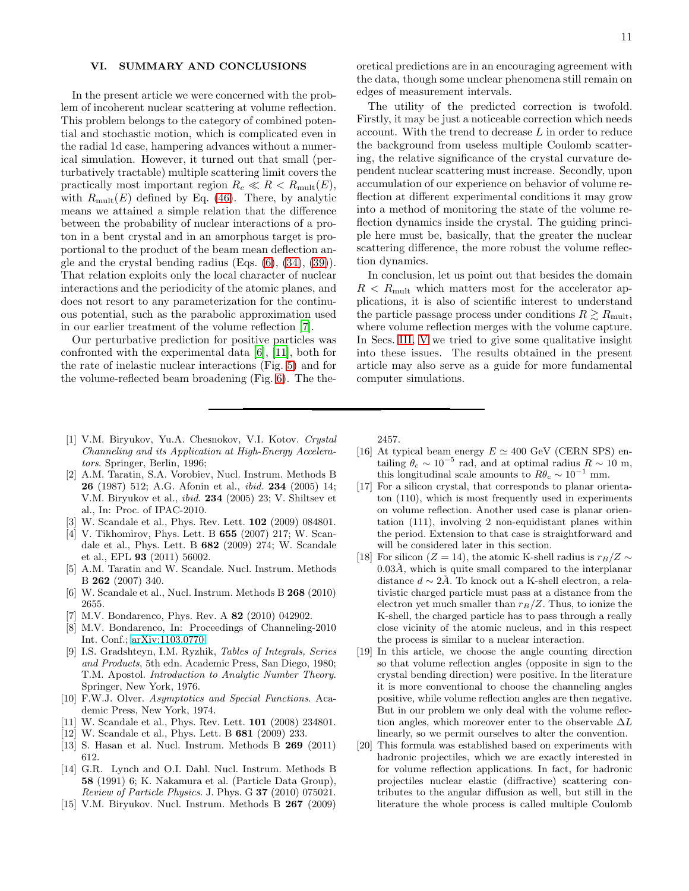## <span id="page-10-6"></span>VI. SUMMARY AND CONCLUSIONS

In the present article we were concerned with the problem of incoherent nuclear scattering at volume reflection. This problem belongs to the category of combined potential and stochastic motion, which is complicated even in the radial 1d case, hampering advances without a numerical simulation. However, it turned out that small (perturbatively tractable) multiple scattering limit covers the practically most important region  $R_c \ll R < R_{\text{mult}}(E)$ , with  $R_{\text{mult}}(E)$  defined by Eq. [\(46\)](#page-5-4). There, by analytic means we attained a simple relation that the difference between the probability of nuclear interactions of a proton in a bent crystal and in an amorphous target is proportional to the product of the beam mean deflection angle and the crystal bending radius  $(Eqs. (6), (34), (39)).$  $(Eqs. (6), (34), (39)).$  $(Eqs. (6), (34), (39)).$  $(Eqs. (6), (34), (39)).$  $(Eqs. (6), (34), (39)).$  $(Eqs. (6), (34), (39)).$  $(Eqs. (6), (34), (39)).$ That relation exploits only the local character of nuclear interactions and the periodicity of the atomic planes, and does not resort to any parameterization for the continuous potential, such as the parabolic approximation used in our earlier treatment of the volume reflection [\[7\]](#page-10-9).

Our perturbative prediction for positive particles was confronted with the experimental data [\[6](#page-10-18)], [\[11\]](#page-10-15), both for the rate of inelastic nuclear interactions (Fig. [5\)](#page-7-1) and for the volume-reflected beam broadening (Fig. [6\)](#page-9-0). The theoretical predictions are in an encouraging agreement with the data, though some unclear phenomena still remain on edges of measurement intervals.

The utility of the predicted correction is twofold. Firstly, it may be just a noticeable correction which needs account. With the trend to decrease L in order to reduce the background from useless multiple Coulomb scattering, the relative significance of the crystal curvature dependent nuclear scattering must increase. Secondly, upon accumulation of our experience on behavior of volume reflection at different experimental conditions it may grow into a method of monitoring the state of the volume reflection dynamics inside the crystal. The guiding principle here must be, basically, that the greater the nuclear scattering difference, the more robust the volume reflection dynamics.

In conclusion, let us point out that besides the domain  $R < R_{\text{mult}}$  which matters most for the accelerator applications, it is also of scientific interest to understand the particle passage process under conditions  $R \gtrsim R_{\text{mult}}$ , where volume reflection merges with the volume capture. In Secs. [III,](#page-5-0) [V](#page-7-0) we tried to give some qualitative insight into these issues. The results obtained in the present article may also serve as a guide for more fundamental computer simulations.

- <span id="page-10-0"></span>[1] V.M. Biryukov, Yu.A. Chesnokov, V.I. Kotov. Crystal Channeling and its Application at High-Energy Accelerators. Springer, Berlin, 1996;
- <span id="page-10-1"></span>[2] A.M. Taratin, S.A. Vorobiev, Nucl. Instrum. Methods B 26 (1987) 512; A.G. Afonin et al., ibid. 234 (2005) 14; V.M. Biryukov et al., ibid. 234 (2005) 23; V. Shiltsev et al., In: Proc. of IPAC-2010.
- <span id="page-10-2"></span>[3] W. Scandale et al., Phys. Rev. Lett. 102 (2009) 084801.
- <span id="page-10-3"></span>[4] V. Tikhomirov, Phys. Lett. B 655 (2007) 217; W. Scandale et al., Phys. Lett. B 682 (2009) 274; W. Scandale et al., EPL 93 (2011) 56002.
- <span id="page-10-4"></span>[5] A.M. Taratin and W. Scandale. Nucl. Instrum. Methods B 262 (2007) 340.
- <span id="page-10-18"></span>[6] W. Scandale et al., Nucl. Instrum. Methods B 268 (2010) 2655.
- <span id="page-10-9"></span>[7] M.V. Bondarenco, Phys. Rev. A 82 (2010) 042902.
- [8] M.V. Bondarenco, In: Proceedings of Channeling-2010 Int. Conf.; [arXiv:1103.0770.](http://arxiv.org/abs/1103.0770)
- <span id="page-10-11"></span>[9] I.S. Gradshteyn, I.M. Ryzhik, Tables of Integrals, Series and Products, 5th edn. Academic Press, San Diego, 1980; T.M. Apostol. Introduction to Analytic Number Theory. Springer, New York, 1976.
- <span id="page-10-12"></span>[10] F.W.J. Olver. Asymptotics and Special Functions. Academic Press, New York, 1974.
- <span id="page-10-15"></span>[11] W. Scandale et al., Phys. Rev. Lett. 101 (2008) 234801.
- <span id="page-10-17"></span>[12] W. Scandale et al., Phys. Lett. B 681 (2009) 233.
- <span id="page-10-16"></span>[13] S. Hasan et al. Nucl. Instrum. Methods B 269 (2011) 612.
- <span id="page-10-13"></span>[14] G.R. Lynch and O.I. Dahl. Nucl. Instrum. Methods B 58 (1991) 6; K. Nakamura et al. (Particle Data Group), Review of Particle Physics. J. Phys. G 37 (2010) 075021.
- <span id="page-10-19"></span>[15] V.M. Biryukov. Nucl. Instrum. Methods B 267 (2009)

2457.

- <span id="page-10-5"></span>[16] At typical beam energy  $E \simeq 400$  GeV (CERN SPS) entailing  $\theta_c \sim 10^{-5}$  rad, and at optimal radius  $R \sim 10$  m, this longitudinal scale amounts to  $R\theta_c \sim 10^{-1}$  mm.
- <span id="page-10-7"></span>[17] For a silicon crystal, that corresponds to planar orientaton (110), which is most frequently used in experiments on volume reflection. Another used case is planar orientation (111), involving 2 non-equidistant planes within the period. Extension to that case is straightforward and will be considered later in this section.
- <span id="page-10-8"></span>[18] For silicon (Z = 14), the atomic K-shell radius is  $r_B/Z \sim$  $0.03\AA$ , which is quite small compared to the interplanar distance  $d \sim 2\AA$ . To knock out a K-shell electron, a relativistic charged particle must pass at a distance from the electron yet much smaller than  $r_B/Z$ . Thus, to ionize the K-shell, the charged particle has to pass through a really close vicinity of the atomic nucleus, and in this respect the process is similar to a nuclear interaction.
- <span id="page-10-10"></span>[19] In this article, we choose the angle counting direction so that volume reflection angles (opposite in sign to the crystal bending direction) were positive. In the literature it is more conventional to choose the channeling angles positive, while volume reflection angles are then negative. But in our problem we only deal with the volume reflection angles, which moreover enter to the observable  $\Delta L$ linearly, so we permit ourselves to alter the convention.
- <span id="page-10-14"></span>[20] This formula was established based on experiments with hadronic projectiles, which we are exactly interested in for volume reflection applications. In fact, for hadronic projectiles nuclear elastic (diffractive) scattering contributes to the angular diffusion as well, but still in the literature the whole process is called multiple Coulomb